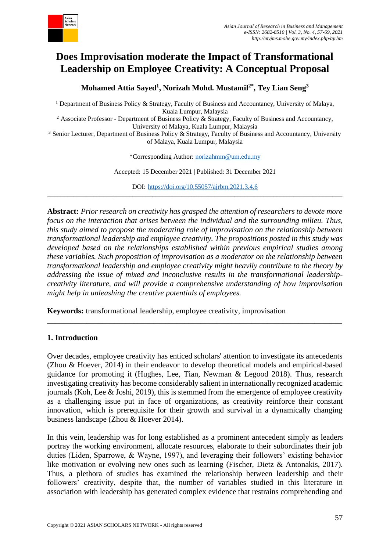

# **Does Improvisation moderate the Impact of Transformational Leadership on Employee Creativity: A Conceptual Proposal**

**Mohamed Attia Sayed<sup>1</sup> , Norizah Mohd. Mustamil2\* , Tey Lian Seng<sup>3</sup>**

<sup>1</sup> Department of Business Policy & Strategy, Faculty of Business and Accountancy, University of Malaya, Kuala Lumpur, Malaysia

<sup>2</sup> Associate Professor - Department of Business Policy & Strategy, Faculty of Business and Accountancy, University of Malaya, Kuala Lumpur, Malaysia

<sup>3</sup> Senior Lecturer, Department of Business Policy & Strategy, Faculty of Business and Accountancy, University of Malaya, Kuala Lumpur, Malaysia

\*Corresponding Author: [norizahmm@um.edu.my](mailto:norizahmm@um.edu.my)

Accepted: 15 December 2021 | Published: 31 December 2021

DOI: <https://doi.org/10.55057/ajrbm.2021.3.4.6> \_\_\_\_\_\_\_\_\_\_\_\_\_\_\_\_\_\_\_\_\_\_\_\_\_\_\_\_\_\_\_\_\_\_\_\_\_\_\_\_\_\_\_\_\_\_\_\_\_\_\_\_\_\_\_\_\_\_\_\_\_\_\_\_\_\_\_\_\_\_\_\_\_\_\_\_\_\_\_\_\_\_\_\_\_\_\_\_\_\_

**Abstract:** *Prior research on creativity has grasped the attention of researchers to devote more focus on the interaction that arises between the individual and the surrounding milieu. Thus, this study aimed to propose the moderating role of improvisation on the relationship between transformational leadership and employee creativity. The propositions posted in this study was developed based on the relationships established within previous empirical studies among these variables. Such proposition of improvisation as a moderator on the relationship between transformational leadership and employee creativity might heavily contribute to the theory by addressing the issue of mixed and inconclusive results in the transformational leadershipcreativity literature, and will provide a comprehensive understanding of how improvisation might help in unleashing the creative potentials of employees.*

**Keywords:** transformational leadership, employee creativity, improvisation

#### **1. Introduction**

Over decades, employee creativity has enticed scholars' attention to investigate its antecedents (Zhou & Hoever, 2014) in their endeavor to develop theoretical models and empirical-based guidance for promoting it (Hughes, Lee, Tian, Newman & Legood 2018). Thus, research investigating creativity has become considerably salient in internationally recognized academic journals (Koh, Lee & Joshi, 2019), this is stemmed from the emergence of employee creativity as a challenging issue put in face of organizations, as creativity reinforce their constant innovation, which is prerequisite for their growth and survival in a dynamically changing business landscape (Zhou & Hoever 2014).

\_\_\_\_\_\_\_\_\_\_\_\_\_\_\_\_\_\_\_\_\_\_\_\_\_\_\_\_\_\_\_\_\_\_\_\_\_\_\_\_\_\_\_\_\_\_\_\_\_\_\_\_\_\_\_\_\_\_\_\_\_\_\_\_\_\_\_\_\_\_\_\_\_\_\_

In this vein, leadership was for long established as a prominent antecedent simply as leaders portray the working environment, allocate resources, elaborate to their subordinates their job duties (Liden, Sparrowe, & Wayne, 1997), and leveraging their followers' existing behavior like motivation or evolving new ones such as learning (Fischer, Dietz & Antonakis, 2017). Thus, a plethora of studies has examined the relationship between leadership and their followers' creativity, despite that, the number of variables studied in this literature in association with leadership has generated complex evidence that restrains comprehending and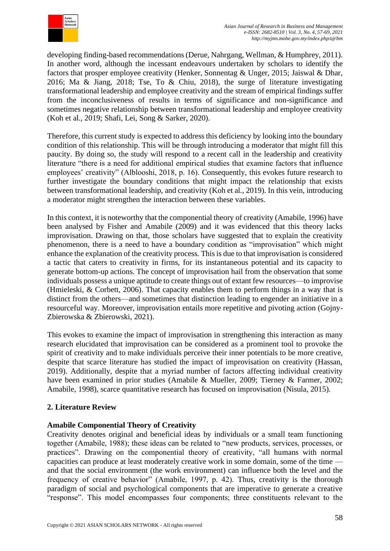

developing finding-based recommendations (Derue, Nahrgang, Wellman, & Humphrey, 2011). In another word, although the incessant endeavours undertaken by scholars to identify the factors that prosper employee creativity (Henker, Sonnentag & Unger, 2015; Jaiswal & Dhar, 2016; Ma & Jiang, 2018; Tse, To & Chiu, 2018), the surge of literature investigating transformational leadership and employee creativity and the stream of empirical findings suffer from the inconclusiveness of results in terms of significance and non-significance and sometimes negative relationship between transformational leadership and employee creativity (Koh et al., 2019; Shafi, Lei, Song & Sarker, 2020).

Therefore, this current study is expected to address this deficiency by looking into the boundary condition of this relationship. This will be through introducing a moderator that might fill this paucity. By doing so, the study will respond to a recent call in the leadership and creativity literature "there is a need for additional empirical studies that examine factors that influence employees' creativity" (Alblooshi, 2018, p. 16). Consequently, this evokes future research to further investigate the boundary conditions that might impact the relationship that exists between transformational leadership, and creativity (Koh et al., 2019). In this vein, introducing a moderator might strengthen the interaction between these variables.

In this context, it is noteworthy that the componential theory of creativity (Amabile, 1996) have been analysed by Fisher and Amabile (2009) and it was evidenced that this theory lacks improvisation. Drawing on that, those scholars have suggested that to explain the creativity phenomenon, there is a need to have a boundary condition as "improvisation" which might enhance the explanation of the creativity process. This is due to that improvisation is considered a tactic that caters to creativity in firms, for its instantaneous potential and its capacity to generate bottom-up actions. The concept of improvisation hail from the observation that some individuals possess a unique aptitude to create things out of extant few resources—to improvise (Hmieleski, & Corbett, 2006). That capacity enables them to perform things in a way that is distinct from the others—and sometimes that distinction leading to engender an initiative in a resourceful way. Moreover, improvisation entails more repetitive and pivoting action (Gojny-Zbierowska & Zbierowski, 2021).

This evokes to examine the impact of improvisation in strengthening this interaction as many research elucidated that improvisation can be considered as a prominent tool to provoke the spirit of creativity and to make individuals perceive their inner potentials to be more creative, despite that scarce literature has studied the impact of improvisation on creativity (Hassan, 2019). Additionally, despite that a myriad number of factors affecting individual creativity have been examined in prior studies (Amabile & Mueller, 2009; Tierney & Farmer, 2002; Amabile, 1998), scarce quantitative research has focused on improvisation (Nisula, 2015).

# **2. Literature Review**

## **Amabile Componential Theory of Creativity**

Creativity denotes original and beneficial ideas by individuals or a small team functioning together (Amabile, 1988); these ideas can be related to "new products, services, processes, or practices". Drawing on the componential theory of creativity, "all humans with normal capacities can produce at least moderately creative work in some domain, some of the time and that the social environment (the work environment) can influence both the level and the frequency of creative behavior" (Amabile, 1997, p. 42). Thus, creativity is the thorough paradigm of social and psychological components that are imperative to generate a creative "response". This model encompasses four components; three constituents relevant to the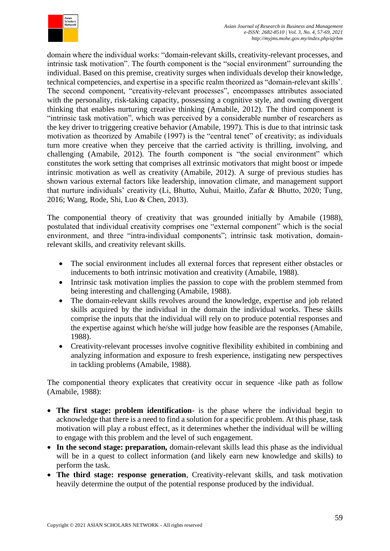

domain where the individual works: "domain-relevant skills, creativity-relevant processes, and intrinsic task motivation". The fourth component is the "social environment" surrounding the individual. Based on this premise, creativity surges when individuals develop their knowledge, technical competencies, and expertise in a specific realm theorized as "domain-relevant skills'. The second component, "creativity-relevant processes", encompasses attributes associated with the personality, risk-taking capacity, possessing a cognitive style, and owning divergent thinking that enables nurturing creative thinking (Amabile, 2012). The third component is "intrinsic task motivation", which was perceived by a considerable number of researchers as the key driver to triggering creative behavior (Amabile, 1997). This is due to that intrinsic task motivation as theorized by Amabile (1997) is the "central tenet" of creativity; as individuals turn more creative when they perceive that the carried activity is thrilling, involving, and challenging (Amabile, 2012). The fourth component is "the social environment" which constitutes the work setting that comprises all extrinsic motivators that might boost or impede intrinsic motivation as well as creativity (Amabile, 2012). A surge of previous studies has shown various external factors like leadership, innovation climate, and management support that nurture individuals' creativity (Li, Bhutto, Xuhui, Maitlo, Zafar & Bhutto, 2020; Tung, 2016; Wang, Rode, Shi, Luo & Chen, 2013).

The componential theory of creativity that was grounded initially by Amabile (1988), postulated that individual creativity comprises one "external component" which is the social environment, and three "intra-individual components"; intrinsic task motivation, domainrelevant skills, and creativity relevant skills.

- The social environment includes all external forces that represent either obstacles or inducements to both intrinsic motivation and creativity (Amabile, 1988).
- Intrinsic task motivation implies the passion to cope with the problem stemmed from being interesting and challenging (Amabile, 1988).
- The domain-relevant skills revolves around the knowledge, expertise and job related skills acquired by the individual in the domain the individual works. These skills comprise the inputs that the individual will rely on to produce potential responses and the expertise against which he/she will judge how feasible are the responses (Amabile, 1988).
- Creativity-relevant processes involve cognitive flexibility exhibited in combining and analyzing information and exposure to fresh experience, instigating new perspectives in tackling problems (Amabile, 1988).

The componential theory explicates that creativity occur in sequence -like path as follow (Amabile, 1988):

- **The first stage: problem identification** is the phase where the individual begin to acknowledge that there is a need to find a solution for a specific problem. At this phase, task motivation will play a robust effect, as it determines whether the individual will be willing to engage with this problem and the level of such engagement.
- **In the second stage: preparation,** domain-relevant skills lead this phase as the individual will be in a quest to collect information (and likely earn new knowledge and skills) to perform the task.
- **The third stage: response generation**, Creativity-relevant skills, and task motivation heavily determine the output of the potential response produced by the individual.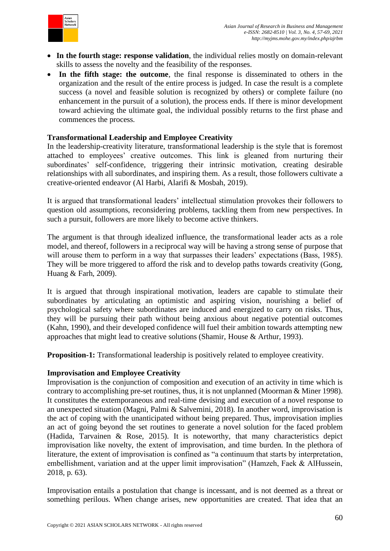

- **In the fourth stage: response validation**, the individual relies mostly on domain-relevant skills to assess the novelty and the feasibility of the responses.
- **In the fifth stage: the outcome**, the final response is disseminated to others in the organization and the result of the entire process is judged. In case the result is a complete success (a novel and feasible solution is recognized by others) or complete failure (no enhancement in the pursuit of a solution), the process ends. If there is minor development toward achieving the ultimate goal, the individual possibly returns to the first phase and commences the process.

#### **Transformational Leadership and Employee Creativity**

In the leadership-creativity literature, transformational leadership is the style that is foremost attached to employees' creative outcomes. This link is gleaned from nurturing their subordinates' self-confidence, triggering their intrinsic motivation, creating desirable relationships with all subordinates, and inspiring them. As a result, those followers cultivate a creative-oriented endeavor (Al Harbi, Alarifi & Mosbah, 2019).

It is argued that transformational leaders' intellectual stimulation provokes their followers to question old assumptions, reconsidering problems, tackling them from new perspectives. In such a pursuit, followers are more likely to become active thinkers.

The argument is that through idealized influence, the transformational leader acts as a role model, and thereof, followers in a reciprocal way will be having a strong sense of purpose that will arouse them to perform in a way that surpasses their leaders' expectations (Bass, 1985). They will be more triggered to afford the risk and to develop paths towards creativity (Gong, Huang & Farh, 2009).

It is argued that through inspirational motivation, leaders are capable to stimulate their subordinates by articulating an optimistic and aspiring vision, nourishing a belief of psychological safety where subordinates are induced and energized to carry on risks. Thus, they will be pursuing their path without being anxious about negative potential outcomes (Kahn, 1990), and their developed confidence will fuel their ambition towards attempting new approaches that might lead to creative solutions (Shamir, House & Arthur, 1993).

**Proposition-1:** Transformational leadership is positively related to employee creativity.

#### **Improvisation and Employee Creativity**

Improvisation is the conjunction of composition and execution of an activity in time which is contrary to accomplishing pre-set routines, thus, it is not unplanned (Moorman & Miner 1998). It constitutes the extemporaneous and real-time devising and execution of a novel response to an unexpected situation (Magni, Palmi & Salvemini, 2018). In another word, improvisation is the act of coping with the unanticipated without being prepared. Thus, improvisation implies an act of going beyond the set routines to generate a novel solution for the faced problem (Hadida, Tarvainen & Rose, 2015). It is noteworthy, that many characteristics depict improvisation like novelty, the extent of improvisation, and time burden. In the plethora of literature, the extent of improvisation is confined as "a continuum that starts by interpretation, embellishment, variation and at the upper limit improvisation" (Hamzeh, Faek & AlHussein, 2018, p. 63).

Improvisation entails a postulation that change is incessant, and is not deemed as a threat or something perilous. When change arises, new opportunities are created. That idea that an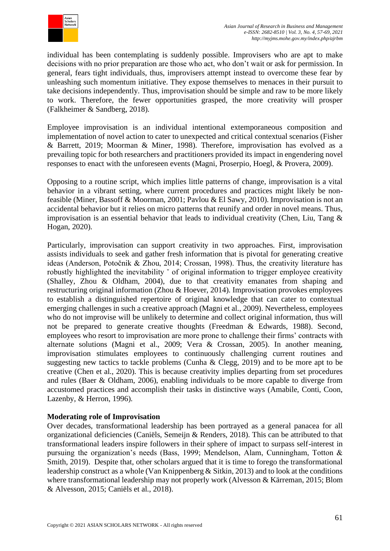

individual has been contemplating is suddenly possible. Improvisers who are apt to make decisions with no prior preparation are those who act, who don't wait or ask for permission. In general, fears tight individuals, thus, improvisers attempt instead to overcome these fear by unleashing such momentum initiative. They expose themselves to menaces in their pursuit to take decisions independently. Thus, improvisation should be simple and raw to be more likely to work. Therefore, the fewer opportunities grasped, the more creativity will prosper (Falkheimer & Sandberg, 2018).

Employee improvisation is an individual intentional extemporaneous composition and implementation of novel action to cater to unexpected and critical contextual scenarios (Fisher & Barrett, 2019; Moorman & Miner, 1998). Therefore, improvisation has evolved as a prevailing topic for both researchers and practitioners provided its impact in engendering novel responses to enact with the unforeseen events (Magni, Proserpio, Hoegl, & Provera, 2009).

Opposing to a routine script, which implies little patterns of change, improvisation is a vital behavior in a vibrant setting, where current procedures and practices might likely be nonfeasible (Miner, Bassoff & Moorman, 2001; Pavlou & El Sawy, 2010). Improvisation is not an accidental behavior but it relies on micro patterns that reunify and order in novel means. Thus, improvisation is an essential behavior that leads to individual creativity (Chen, Liu, Tang & Hogan, 2020).

Particularly, improvisation can support creativity in two approaches. First, improvisation assists individuals to seek and gather fresh information that is pivotal for generating creative ideas (Anderson, Potočnik & Zhou, 2014; Crossan, 1998). Thus, the creativity literature has robustly highlighted the inevitability  $\check{\ }$  of original information to trigger employee creativity (Shalley, Zhou & Oldham, 2004), due to that creativity emanates from shaping and restructuring original information (Zhou & Hoever, 2014). Improvisation provokes employees to establish a distinguished repertoire of original knowledge that can cater to contextual emerging challenges in such a creative approach (Magni et al., 2009). Nevertheless, employees who do not improvise will be unlikely to determine and collect original information, thus will not be prepared to generate creative thoughts (Freedman & Edwards, 1988). Second, employees who resort to improvisation are more prone to challenge their firms' contracts with alternate solutions (Magni et al., 2009; Vera & Crossan, 2005). In another meaning, improvisation stimulates employees to continuously challenging current routines and suggesting new tactics to tackle problems (Cunha & Clegg, 2019) and to be more apt to be creative (Chen et al., 2020). This is because creativity implies departing from set procedures and rules (Baer & Oldham, 2006), enabling individuals to be more capable to diverge from accustomed practices and accomplish their tasks in distinctive ways (Amabile, Conti, Coon, Lazenby, & Herron, 1996).

## **Moderating role of Improvisation**

Over decades, transformational leadership has been portrayed as a general panacea for all organizational deficiencies (Caniëls, Semeijn & Renders, 2018). This can be attributed to that transformational leaders inspire followers in their sphere of impact to surpass self-interest in pursuing the organization's needs (Bass, 1999; Mendelson, Alam, Cunningham, Totton & Smith, 2019). Despite that, other scholars argued that it is time to forego the transformational leadership construct as a whole (Van Knippenberg & Sitkin, 2013) and to look at the conditions where transformational leadership may not properly work (Alvesson & Kärreman, 2015; Blom & Alvesson, 2015; Caniëls et al., 2018).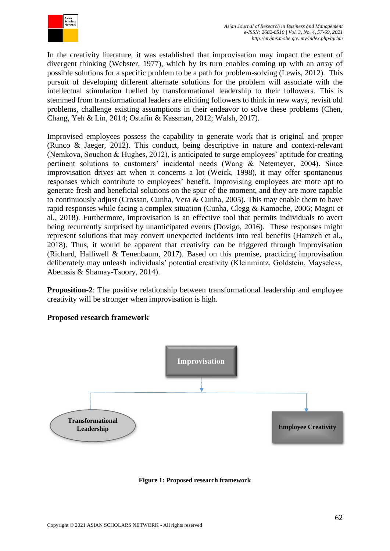

In the creativity literature, it was established that improvisation may impact the extent of divergent thinking (Webster, 1977), which by its turn enables coming up with an array of possible solutions for a specific problem to be a path for problem-solving (Lewis, 2012). This pursuit of developing different alternate solutions for the problem will associate with the intellectual stimulation fuelled by transformational leadership to their followers. This is stemmed from transformational leaders are eliciting followers to think in new ways, revisit old problems, challenge existing assumptions in their endeavor to solve these problems (Chen, Chang, Yeh & Lin, 2014; Ostafin & Kassman, 2012; Walsh, 2017).

Improvised employees possess the capability to generate work that is original and proper (Runco & Jaeger, 2012). This conduct, being descriptive in nature and context-relevant (Nemkova, Souchon & Hughes, 2012), is anticipated to surge employees' aptitude for creating pertinent solutions to customers' incidental needs (Wang & Netemeyer, 2004). Since improvisation drives act when it concerns a lot (Weick, 1998), it may offer spontaneous responses which contribute to employees' benefit. Improvising employees are more apt to generate fresh and beneficial solutions on the spur of the moment, and they are more capable to continuously adjust (Crossan, Cunha, Vera & Cunha, 2005). This may enable them to have rapid responses while facing a complex situation (Cunha, Clegg & Kamoche, 2006; Magni et al., 2018). Furthermore, improvisation is an effective tool that permits individuals to avert being recurrently surprised by unanticipated events (Dovigo, 2016). These responses might represent solutions that may convert unexpected incidents into real benefits (Hamzeh et al., 2018). Thus, it would be apparent that creativity can be triggered through improvisation (Richard, Halliwell & Tenenbaum, 2017). Based on this premise, practicing improvisation deliberately may unleash individuals' potential creativity (Kleinmintz, Goldstein, Mayseless, Abecasis & Shamay-Tsoory, 2014).

**Proposition-2**: The positive relationship between transformational leadership and employee creativity will be stronger when improvisation is high.

## **Proposed research framework**



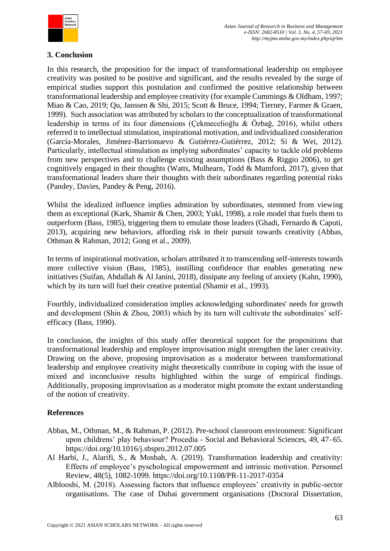

## **3. Conclusion**

In this research, the proposition for the impact of transformational leadership on employee creativity was posited to be positive and significant, and the results revealed by the surge of empirical studies support this postulation and confirmed the positive relationship between transformational leadership and employee creativity (for example Cummings & Oldham, 1997; Miao & Cao, 2019; Qu, Janssen & Shi, 2015; Scott & Bruce, 1994; Tierney, Farmer & Graen, 1999). Such association was attributed by scholars to the conceptualization of transformational leadership in terms of its four dimensions (Çekmecelioğlu & Özbağ, 2016), whilst others referred it to intellectual stimulation, inspirational motivation, and individualized consideration (García-Morales, Jiménez-Barrionuevo & Gutiérrez-Gutiérrez, 2012; Si & Wei, 2012). Particularly, intellectual stimulation as implying subordinates' capacity to tackle old problems from new perspectives and to challenge existing assumptions (Bass & Riggio 2006), to get cognitively engaged in their thoughts (Watts, Mulhearn, Todd & Mumford, 2017), given that transformational leaders share their thoughts with their subordinates regarding potential risks (Pandey, Davies, Pandey & Peng, 2016).

Whilst the idealized influence implies admiration by subordinates, stemmed from viewing them as exceptional (Kark, Shamir & Chen, 2003; Yukl, 1998), a role model that fuels them to outperform (Bass, 1985), triggering them to emulate those leaders (Ghadi, Fernardo & Caputi, 2013), acquiring new behaviors, affording risk in their pursuit towards creativity (Abbas, Othman & Rahman, 2012; Gong et al., 2009).

In terms of inspirational motivation, scholars attributed it to transcending self-interests towards more collective vision (Bass, 1985), instilling confidence that enables generating new initiatives (Suifan, Abdallah & Al Janini, 2018), dissipate any feeling of anxiety (Kahn, 1990), which by its turn will fuel their creative potential (Shamir et al., 1993).

Fourthly, individualized consideration implies acknowledging subordinates' needs for growth and development (Shin & Zhou, 2003) which by its turn will cultivate the subordinates' selfefficacy (Bass, 1990).

In conclusion, the insights of this study offer theoretical support for the propositions that transformational leadership and employee improvisation might strengthen the later creativity. Drawing on the above, proposing improvisation as a moderator between transformational leadership and employee creativity might theoretically contribute in coping with the issue of mixed and inconclusive results highlighted within the surge of empirical findings. Additionally, proposing improvisation as a moderator might promote the extant understanding of the notion of creativity.

# **References**

- Abbas, M., Othman, M., & Rahman, P. (2012). Pre-school classroom environment: Significant upon childrens' play behaviour? Procedia - Social and Behavioral Sciences, 49, 47–65. https://doi.org/10.1016/j.sbspro.2012.07.005
- Al Harbi, J., Alarifi, S., & Mosbah, A. (2019). Transformation leadership and creativity: Effects of employee's pyschological empowerment and intrinsic motivation. Personnel Review, 48(5), 1082-1099. https://doi.org/10.1108/PR-11-2017-0354
- Alblooshi, M. (2018). Assessing factors that influence employees' creativity in public-sector organisations. The case of Dubai government organisations (Doctoral Dissertation,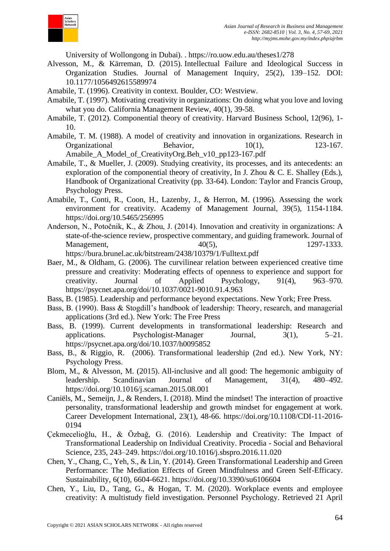

University of Wollongong in Dubai). . https://ro.uow.edu.au/theses1/278

- Alvesson, M., & Kärreman, D. (2015). Intellectual Failure and Ideological Success in Organization Studies. Journal of Management Inquiry, 25(2), 139–152. DOI: 10.1177/1056492615589974
- Amabile, T. (1996). Creativity in context. Boulder, CO: Westview.
- Amabile, T. (1997). Motivating creativity in organizations: On doing what you love and loving what you do. California Management Review, 40(1), 39-58.
- Amabile, T. (2012). Componential theory of creativity. Harvard Business School, 12(96), 1- 10.
- Amabile, T. M. (1988). A model of creativity and innovation in organizations. Research in Organizational Behavior, 10(1), 123-167. Amabile\_A\_Model\_of\_CreativityOrg.Beh\_v10\_pp123-167.pdf
- Amabile, T., & Mueller, J. (2009). Studying creativity, its processes, and its antecedents: an exploration of the componential theory of creativity, In J. Zhou & C. E. Shalley (Eds.), Handbook of Organizational Creativity (pp. 33-64). London: Taylor and Francis Group, Psychology Press.
- Amabile, T., Conti, R., Coon, H., Lazenby, J., & Herron, M. (1996). Assessing the work environment for creativity. Academy of Management Journal, 39(5), 1154-1184. https://doi.org/10.5465/256995
- Anderson, N., Potočnik, K., & Zhou, J. (2014). Innovation and creativity in organizations: A state-of-the-science review, prospective commentary, and guiding framework. Journal of Management, 40(5), 1297-1333. https://bura.brunel.ac.uk/bitstream/2438/10379/1/Fulltext.pdf
	-
- Baer, M., & Oldham, G. (2006). The curvilinear relation between experienced creative time pressure and creativity: Moderating effects of openness to experience and support for creativity. Journal of Applied Psychology, 91(4), 963–970. https://psycnet.apa.org/doi/10.1037/0021-9010.91.4.963
- Bass, B. (1985). Leadership and performance beyond expectations. New York; Free Press.
- Bass, B. (1990). Bass & Stogdill's handbook of leadership: Theory, research, and managerial applications (3rd ed.). New York: The Free Press
- Bass, B. (1999). Current developments in transformational leadership: Research and applications. Psychologist-Manager Journal, 3(1), 5–21. https://psycnet.apa.org/doi/10.1037/h0095852
- Bass, B., & Riggio, R. (2006). Transformational leadership (2nd ed.). New York, NY: Psychology Press.
- Blom, M., & Alvesson, M. (2015). All-inclusive and all good: The hegemonic ambiguity of leadership. Scandinavian Journal of Management, 31(4), 480–492. https://doi.org/10.1016/j.scaman.2015.08.001
- Caniëls, M., Semeijn, J., & Renders, I. (2018). Mind the mindset! The interaction of proactive personality, transformational leadership and growth mindset for engagement at work. Career Development International, 23(1), 48-66. https://doi.org/10.1108/CDI-11-2016- 0194
- Çekmecelioğlu, H., & Özbağ, G. (2016). Leadership and Creativity: The Impact of Transformational Leadership on Individual Creativity. Procedia - Social and Behavioral Science, 235, 243–249. https://doi.org/10.1016/j.sbspro.2016.11.020
- Chen, Y., Chang, C., Yeh, S., & Lin, Y. (2014). Green Transformational Leadership and Green Performance: The Mediation Effects of Green Mindfulness and Green Self-Efficacy. Sustainability, 6(10), 6604-6621. https://doi.org/10.3390/su6106604
- Chen, Y., Liu, D., Tang, G., & Hogan, T. M. (2020). Workplace events and employee creativity: A multistudy field investigation. Personnel Psychology. Retrieved 21 April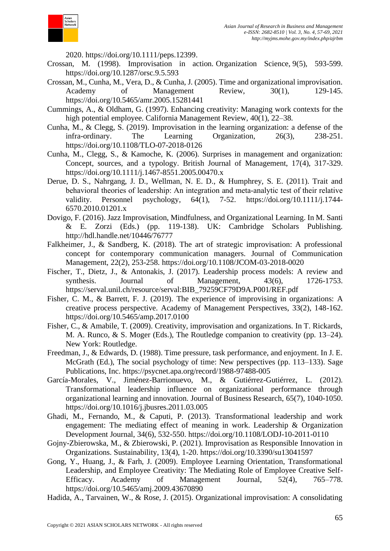

2020. [https://doi.org/10.1111/peps.12399.](https://doi.org/10.1111/peps.12399)

- Crossan, M. (1998). Improvisation in action. Organization Science, 9(5), 593-599. https://doi.org/10.1287/orsc.9.5.593
- Crossan, M., Cunha, M., Vera, D., & Cunha, J. (2005). Time and organizational improvisation. Academy of Management Review, 30(1), 129-145. https://doi.org/10.5465/amr.2005.15281441
- Cummings, A., & Oldham, G. (1997). Enhancing creativity: Managing work contexts for the high potential employee. California Management Review, 40(1), 22–38.
- Cunha, M., & Clegg, S. (2019). Improvisation in the learning organization: a defense of the infra-ordinary. The Learning Organization, 26(3), 238-251. https://doi.org/10.1108/TLO-07-2018-0126
- Cunha, M., Clegg, S., & Kamoche, K. (2006). Surprises in management and organization: Concept, sources, and a typology. British Journal of Management, 17(4), 317-329. https://doi.org/10.1111/j.1467-8551.2005.00470.x
- Derue, D. S., Nahrgang, J. D., Wellman, N. E. D., & Humphrey, S. E. (2011). Trait and behavioral theories of leadership: An integration and meta-analytic test of their relative validity. Personnel psychology, 64(1), 7-52. https://doi.org/10.1111/j.1744- 6570.2010.01201.x
- Dovigo, F. (2016). Jazz Improvisation, Mindfulness, and Organizational Learning. In M. Santi & E. Zorzi (Eds.) (pp. 119-138). UK: Cambridge Scholars Publishing. http://hdl.handle.net/10446/76777
- Falkheimer, J., & Sandberg, K. (2018). The art of strategic improvisation: A professional concept for contemporary communication managers. Journal of Communication Management, 22(2), 253-258. https://doi.org/10.1108/JCOM-03-2018-0020
- Fischer, T., Dietz, J., & Antonakis, J. (2017). Leadership process models: A review and synthesis. Journal of Management,  $43(6)$ ,  $1726-1753$ . https://serval.unil.ch/resource/serval:BIB\_79259CF79D9A.P001/REF.pdf
- Fisher, C. M., & Barrett, F. J. (2019). The experience of improvising in organizations: A creative process perspective. Academy of Management Perspectives, 33(2), 148-162. https://doi.org/10.5465/amp.2017.0100
- Fisher, C., & Amabile, T. (2009). Creativity, improvisation and organizations. In T. Rickards, M. A. Runco, & S. Moger (Eds.), The Routledge companion to creativity (pp. 13–24). New York: Routledge.
- Freedman, J., & Edwards, D. (1988). Time pressure, task performance, and enjoyment. In J. E. McGrath (Ed.), The social psychology of time: New perspectives (pp. 113–133). Sage Publications, Inc. https://psycnet.apa.org/record/1988-97488-005
- García-Morales, V., Jiménez-Barrionuevo, M., & Gutiérrez-Gutiérrez, L. (2012). Transformational leadership influence on organizational performance through organizational learning and innovation. Journal of Business Research, 65(7), 1040-1050. https://doi.org/10.1016/j.jbusres.2011.03.005
- Ghadi, M., Fernando, M., & Caputi, P. (2013). Transformational leadership and work engagement: The mediating effect of meaning in work. Leadership & Organization Development Journal, 34(6), 532-550. https://doi.org/10.1108/LODJ-10-2011-0110
- Gojny-Zbierowska, M., & Zbierowski, P. (2021). Improvisation as Responsible Innovation in Organizations. Sustainability, 13(4), 1-20. https://doi.org/10.3390/su13041597
- Gong, Y., Huang, J., & Farh, J. (2009). Employee Learning Orientation, Transformational Leadership, and Employee Creativity: The Mediating Role of Employee Creative Self-Efficacy. Academy of Management Journal, 52(4), 765–778. https://doi.org/10.5465/amj.2009.43670890
- Hadida, A., Tarvainen, W., & Rose, J. (2015). Organizational improvisation: A consolidating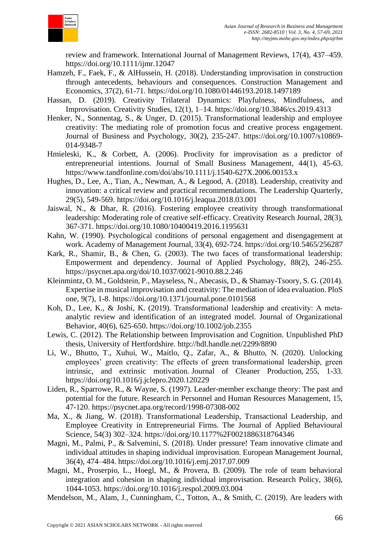

review and framework. International Journal of Management Reviews, 17(4), 437–459. https://doi.org/10.1111/ijmr.12047

- Hamzeh, F., Faek, F., & AlHussein, H. (2018). Understanding improvisation in construction through antecedents, behaviours and consequences. Construction Management and Economics, 37(2), 61-71. https://doi.org/10.1080/01446193.2018.1497189
- Hassan, D. (2019). Creativity Trilateral Dynamics: Playfulness, Mindfulness, and Improvisation. Creativity Studies, 12(1), 1–14. https://doi.org/10.3846/cs.2019.4313
- Henker, N., Sonnentag, S., & Unger, D. (2015). Transformational leadership and employee creativity: The mediating role of promotion focus and creative process engagement. Journal of Business and Psychology, 30(2), 235-247. https://doi.org/10.1007/s10869- 014-9348-7
- Hmieleski, K., & Corbett, A. (2006). Proclivity for improvisation as a predictor of entrepreneurial intentions. Journal of Small Business Management, 44(1), 45-63. https://www.tandfonline.com/doi/abs/10.1111/j.1540-627X.2006.00153.x
- Hughes, D., Lee, A., Tian, A., Newman, A., & Legood, A. (2018). Leadership, creativity and innovation: a critical review and practical recommendations. The Leadership Quarterly, 29(5), 549-569. https://doi.org/10.1016/j.leaqua.2018.03.001
- Jaiswal, N., & Dhar, R. (2016). Fostering employee creativity through transformational leadership: Moderating role of creative self-efficacy. Creativity Research Journal, 28(3), 367-371. https://doi.org/10.1080/10400419.2016.1195631
- Kahn, W. (1990). Psychological conditions of personal engagement and disengagement at work. Academy of Management Journal, 33(4), 692-724. https://doi.org/10.5465/256287
- Kark, R., Shamir, B., & Chen, G. (2003). The two faces of transformational leadership: Empowerment and dependency. Journal of Applied Psychology, 88(2), 246-255. https://psycnet.apa.org/doi/10.1037/0021-9010.88.2.246
- Kleinmintz, O. M., Goldstein, P., Mayseless, N., Abecasis, D., & Shamay-Tsoory, S. G. (2014). Expertise in musical improvisation and creativity: The mediation of idea evaluation. PloS one, 9(7), 1-8. https://doi.org/10.1371/journal.pone.0101568
- Koh, D., Lee, K., & Joshi, K. (2019). Transformational leadership and creativity: A metaanalytic review and identification of an integrated model. Journal of Organizational Behavior, 40(6), 625-650. https://doi.org/10.1002/job.2355
- Lewis, C. (2012). The Relationship between Improvisation and Cognition. Unpublished PhD thesis, University of Hertfordshire. http://hdl.handle.net/2299/8890
- Li, W., Bhutto, T., Xuhui, W., Maitlo, Q., Zafar, A., & Bhutto, N. (2020). Unlocking employees' green creativity: The effects of green transformational leadership, green intrinsic, and extrinsic motivation. Journal of Cleaner Production, 255, 1-33. https://doi.org/10.1016/j.jclepro.2020.120229
- Liden, R., Sparrowe, R., & Wayne, S. (1997). Leader-member exchange theory: The past and potential for the future. Research in Personnel and Human Resources Management, 15, 47-120. https://psycnet.apa.org/record/1998-07308-002
- Ma, X., & Jiang, W. (2018). Transformational Leadership, Transactional Leadership, and Employee Creativity in Entrepreneurial Firms. The Journal of Applied Behavioural Science, 54(3) 302–324. https://doi.org/10.1177%2F0021886318764346
- Magni, M., Palmi, P., & Salvemini, S. (2018). Under pressure! Team innovative climate and individual attitudes in shaping individual improvisation. European Management Journal, 36(4), 474–484. https://doi.org/10.1016/j.emj.2017.07.009
- Magni, M., Proserpio, L., Hoegl, M., & Provera, B. (2009). The role of team behavioral integration and cohesion in shaping individual improvisation. Research Policy, 38(6), 1044-1053. https://doi.org/10.1016/j.respol.2009.03.004
- Mendelson, M., Alam, J., Cunningham, C., Totton, A., & Smith, C. (2019). Are leaders with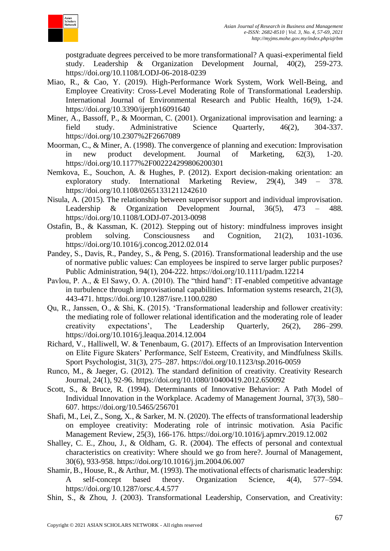

postgraduate degrees perceived to be more transformational? A quasi-experimental field study. Leadership & Organization Development Journal, 40(2), 259-273. https://doi.org/10.1108/LODJ-06-2018-0239

- Miao, R., & Cao, Y. (2019). High-Performance Work System, Work Well-Being, and Employee Creativity: Cross-Level Moderating Role of Transformational Leadership. International Journal of Environmental Research and Public Health, 16(9), 1-24. https://doi.org/10.3390/ijerph16091640
- Miner, A., Bassoff, P., & Moorman, C. (2001). Organizational improvisation and learning: a field study. Administrative Science Quarterly, 46(2), 304-337. https://doi.org/10.2307%2F2667089
- Moorman, C., & Miner, A. (1998). The convergence of planning and execution: Improvisation in new product development. Journal of Marketing, 62(3), 1-20. https://doi.org/10.1177%2F002224299806200301
- Nemkova, E., Souchon, A. & Hughes, P. (2012). Export decision-making orientation: an exploratory study. International Marketing Review, 29(4), 349 – 378. https://doi.org/10.1108/02651331211242610
- Nisula, A. (2015). The relationship between supervisor support and individual improvisation. Leadership & Organization Development Journal, 36(5), 473 – 488. https://doi.org/10.1108/LODJ-07-2013-0098
- Ostafin, B., & Kassman, K. (2012). Stepping out of history: mindfulness improves insight problem solving. Consciousness and Cognition, 21(2), 1031-1036. https://doi.org/10.1016/j.concog.2012.02.014
- Pandey, S., Davis, R., Pandey, S., & Peng, S. (2016). Transformational leadership and the use of normative public values: Can employees be inspired to serve larger public purposes? Public Administration, 94(1), 204-222. https://doi.org/10.1111/padm.12214
- Pavlou, P. A., & El Sawy, O. A. (2010). The "third hand": IT-enabled competitive advantage in turbulence through improvisational capabilities. Information systems research, 21(3), 443-471. https://doi.org/10.1287/isre.1100.0280
- Qu, R., Janssen, O., & Shi, K. (2015). 'Transformational leadership and follower creativity: the mediating role of follower relational identification and the moderating role of leader creativity expectations', The Leadership Quarterly, 26(2), 286–299. https://doi.org/10.1016/j.leaqua.2014.12.004
- Richard, V., Halliwell, W. & Tenenbaum, G. (2017). Effects of an Improvisation Intervention on Elite Figure Skaters' Performance, Self Esteem, Creativity, and Mindfulness Skills. Sport Psychologist, 31(3), 275–287. https://doi.org/10.1123/tsp.2016-0059
- Runco, M., & Jaeger, G. (2012). The standard definition of creativity. Creativity Research Journal, 24(1), 92-96. https://doi.org/10.1080/10400419.2012.650092
- Scott, S., & Bruce, R. (1994). Determinants of Innovative Behavior: A Path Model of Individual Innovation in the Workplace. Academy of Management Journal, 37(3), 580– 607. https://doi.org/10.5465/256701
- Shafi, M., Lei, Z., Song, X., & Sarker, M. N. (2020). The effects of transformational leadership on employee creativity: Moderating role of intrinsic motivation. Asia Pacific Management Review, 25(3), 166-176. https://doi.org/10.1016/j.apmrv.2019.12.002
- Shalley, C. E., Zhou, J., & Oldham, G. R. (2004). The effects of personal and contextual characteristics on creativity: Where should we go from here?. Journal of Management, 30(6), 933-958. https://doi.org/10.1016/j.jm.2004.06.007
- Shamir, B., House, R., & Arthur, M. (1993). The motivational effects of charismatic leadership: self-concept based theory. Organization Science, 4(4), 577–594. https://doi.org/10.1287/orsc.4.4.577
- Shin, S., & Zhou, J. (2003). Transformational Leadership, Conservation, and Creativity: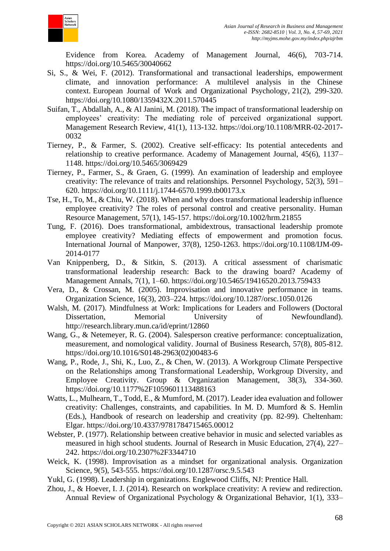

Evidence from Korea. Academy of Management Journal, 46(6), 703-714. https://doi.org/10.5465/30040662

- Si, S., & Wei, F. (2012). Transformational and transactional leaderships, empowerment climate, and innovation performance: A multilevel analysis in the Chinese context. European Journal of Work and Organizational Psychology, 21(2), 299-320. https://doi.org/10.1080/1359432X.2011.570445
- Suifan, T., Abdallah, A., & Al Janini, M. (2018). The impact of transformational leadership on employees' creativity: The mediating role of perceived organizational support. Management Research Review, 41(1), 113-132. https://doi.org/10.1108/MRR-02-2017- 0032
- Tierney, P., & Farmer, S. (2002). Creative self-efficacy: Its potential antecedents and relationship to creative performance. Academy of Management Journal, 45(6), 1137– 1148. https://doi.org/10.5465/3069429
- Tierney, P., Farmer, S., & Graen, G. (1999). An examination of leadership and employee creativity: The relevance of traits and relationships. Personnel Psychology, 52(3), 591– 620. https://doi.org/10.1111/j.1744-6570.1999.tb00173.x
- Tse, H., To, M., & Chiu, W. (2018). When and why does transformational leadership influence employee creativity? The roles of personal control and creative personality. Human Resource Management, 57(1), 145-157. https://doi.org/10.1002/hrm.21855
- Tung, F. (2016). Does transformational, ambidextrous, transactional leadership promote employee creativity? Mediating effects of empowerment and promotion focus. International Journal of Manpower, 37(8), 1250-1263. https://doi.org/10.1108/IJM-09- 2014-0177
- Van Knippenberg, D., & Sitkin, S. (2013). A critical assessment of charismatic transformational leadership research: Back to the drawing board? Academy of Management Annals, 7(1), 1–60. https://doi.org/10.5465/19416520.2013.759433
- Vera, D., & Crossan, M. (2005). Improvisation and innovative performance in teams. Organization Science, 16(3), 203–224. https://doi.org/10.1287/orsc.1050.0126
- Walsh, M. (2017). Mindfulness at Work: Implications for Leaders and Followers (Doctoral Dissertation, Memorial University of Newfoundland). http://research.library.mun.ca/id/eprint/12860
- Wang, G., & Netemeyer, R. G. (2004). Salesperson creative performance: conceptualization, measurement, and nomological validity. Journal of Business Research, 57(8), 805-812. https://doi.org/10.1016/S0148-2963(02)00483-6
- Wang, P., Rode, J., Shi, K., Luo, Z., & Chen, W. (2013). A Workgroup Climate Perspective on the Relationships among Transformational Leadership, Workgroup Diversity, and Employee Creativity. Group & Organization Management, 38(3), 334-360. https://doi.org/10.1177%2F1059601113488163
- Watts, L., Mulhearn, T., Todd, E., & Mumford, M. (2017). Leader idea evaluation and follower creativity: Challenges, constraints, and capabilities. In M. D. Mumford & S. Hemlin (Eds.), Handbook of research on leadership and creativity (pp. 82-99). Cheltenham: Elgar. https://doi.org/10.4337/9781784715465.00012
- Webster, P. (1977). Relationship between creative behavior in music and selected variables as measured in high school students. Journal of Research in Music Education, 27(4), 227– 242. https://doi.org/10.2307%2F3344710
- Weick, K. (1998). Improvisation as a mindset for organizational analysis. Organization Science, 9(5), 543-555. https://doi.org/10.1287/orsc.9.5.543
- Yukl, G. (1998). Leadership in organizations. Englewood Cliffs, NJ: Prentice Hall.
- Zhou, J., & Hoever, I. J. (2014). Research on workplace creativity: A review and redirection. Annual Review of Organizational Psychology & Organizational Behavior, 1(1), 333–